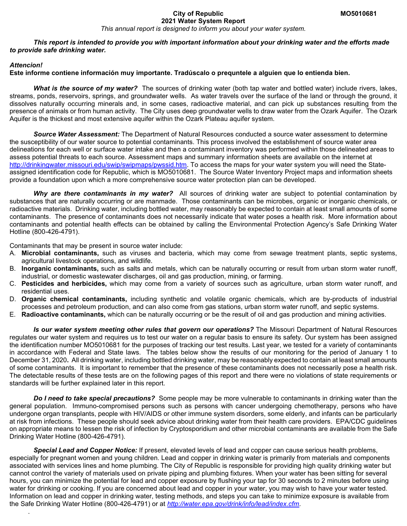#### **City of Republic MO5010681 2021 Water System Report**

*This annual report is designed to inform you about your water system.*

*This report is intended to provide you with important information about your drinking water and the efforts made to provide safe drinking water.* 

#### *Attencion!*

.

#### **Este informe contiene información muy importante. Tradúscalo o prequntele a alguien que lo entienda bien.**

*What is the source of my water?* The sources of drinking water (both tap water and bottled water) include rivers, lakes, streams, ponds, reservoirs, springs, and groundwater wells. As water travels over the surface of the land or through the ground, it dissolves naturally occurring minerals and, in some cases, radioactive material, and can pick up substances resulting from the presence of animals or from human activity. The City uses deep groundwater wells to draw water from the Ozark Aquifer. The Ozark Aquifer is the thickest and most extensive aquifer within the Ozark Plateau aquifer system.

*Source Water Assessment:* The Department of Natural Resources conducted a source water assessment to determine the susceptibility of our water source to potential contaminants. This process involved the establishment of source water area delineations for each well or surface water intake and then a contaminant inventory was performed within those delineated areas to assess potential threats to each source. Assessment maps and summary information sheets are available on the internet at [http://drinkingwater.missouri.edu/swip/swipmaps/pwssid.htm.](http://drinkingwater.missouri.edu/swip/swipmaps/pwssid.htm) To access the maps for your water system you will need the Stateassigned identification code for Republic, which is MO5010681. The Source Water Inventory Project maps and information sheets provide a foundation upon which a more comprehensive source water protection plan can be developed.

*Why are there contaminants in my water?* All sources of drinking water are subject to potential contamination by substances that are naturally occurring or are manmade. Those contaminants can be microbes, organic or inorganic chemicals, or radioactive materials. Drinking water, including bottled water, may reasonably be expected to contain at least small amounts of some contaminants. The presence of contaminants does not necessarily indicate that water poses a health risk. More information about contaminants and potential health effects can be obtained by calling the Environmental Protection Agency's Safe Drinking Water Hotline (800-426-4791).

Contaminants that may be present in source water include:

- A. **Microbial contaminants,** such as viruses and bacteria, which may come from sewage treatment plants, septic systems, agricultural livestock operations, and wildlife.
- B. **Inorganic contaminants,** such as salts and metals, which can be naturally occurring or result from urban storm water runoff, industrial, or domestic wastewater discharges, oil and gas production, mining, or farming.
- C. **Pesticides and herbicides,** which may come from a variety of sources such as agriculture, urban storm water runoff, and residential uses.
- D. **Organic chemical contaminants,** including synthetic and volatile organic chemicals, which are by-products of industrial processes and petroleum production, and can also come from gas stations, urban storm water runoff, and septic systems.
- E. **Radioactive contaminants,** which can be naturally occurring or be the result of oil and gas production and mining activities.

*Is our water system meeting other rules that govern our operations?* The Missouri Department of Natural Resources regulates our water system and requires us to test our water on a regular basis to ensure its safety. Our system has been assigned the identification number MO5010681 for the purposes of tracking our test results. Last year, we tested for a variety of contaminants in accordance with Federal and State laws. The tables below show the results of our monitoring for the period of January 1 to December 31, 2020**.** All drinking water, including bottled drinking water, may be reasonably expected to contain at least small amounts of some contaminants. It is important to remember that the presence of these contaminants does not necessarily pose a health risk. The detectable results of these tests are on the following pages of this report and there were no violations of state requirements or standards will be further explained later in this report.

*Do I need to take special precautions?* Some people may be more vulnerable to contaminants in drinking water than the general population. Immuno-compromised persons such as persons with cancer undergoing chemotherapy, persons who have undergone organ transplants, people with HIV/AIDS or other immune system disorders, some elderly, and infants can be particularly at risk from infections. These people should seek advice about drinking water from their health care providers. EPA/CDC guidelines on appropriate means to lessen the risk of infection by Cryptosporidium and other microbial contaminants are available from the Safe Drinking Water Hotline (800-426-4791).

*Special Lead and Copper Notice:* If present, elevated levels of lead and copper can cause serious health problems, especially for pregnant women and young children. Lead and copper in drinking water is primarily from materials and components associated with services lines and home plumbing. The City of Republic is responsible for providing high quality drinking water but cannot control the variety of materials used on private piping and plumbing fixtures. When your water has been sitting for several hours, you can minimize the potential for lead and copper exposure by flushing your tap for 30 seconds to 2 minutes before using water for drinking or cooking. If you are concerned about lead and copper in your water, you may wish to have your water tested. Information on lead and copper in drinking water, testing methods, and steps you can take to minimize exposure is available from the Safe Drinking Water Hotline (800-426-4791) or at *<http://water.epa.gov/drink/info/lead/index.cfm>*.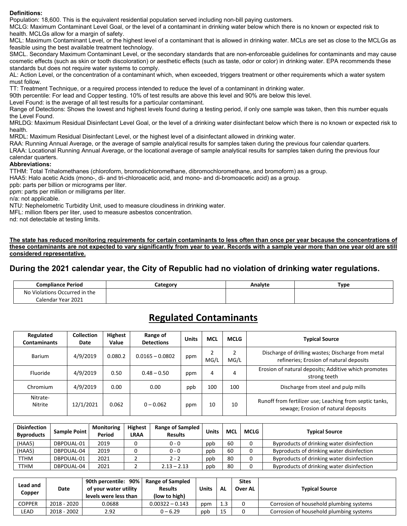#### **Definitions:**

Population: 18,600. This is the equivalent residential population served including non-bill paying customers.

MCLG: Maximum Contaminant Level Goal, or the level of a contaminant in drinking water below which there is no known or expected risk to health. MCLGs allow for a margin of safety.

MCL: Maximum Contaminant Level, or the highest level of a contaminant that is allowed in drinking water. MCLs are set as close to the MCLGs as feasible using the best available treatment technology.

SMCL. Secondary Maximum Contaminant Level, or the secondary standards that are non-enforceable guidelines for contaminants and may cause cosmetic effects (such as skin or tooth discoloration) or aesthetic effects (such as taste, odor or color) in drinking water. EPA recommends these standards but does not require water systems to comply.

AL: Action Level, or the concentration of a contaminant which, when exceeded, triggers treatment or other requirements which a water system must follow.

TT: Treatment Technique, or a required process intended to reduce the level of a contaminant in drinking water.

90th percentile: For lead and Copper testing. 10% of test results are above this level and 90% are below this level.

Level Found: is the average of all test results for a particular contaminant.

Range of Detections: Shows the lowest and highest levels found during a testing period, if only one sample was taken, then this number equals the Level Found.

MRLDG: Maximum Residual Disinfectant Level Goal, or the level of a drinking water disinfectant below which there is no known or expected risk to health.

MRDL: Maximum Residual Disinfectant Level, or the highest level of a disinfectant allowed in drinking water.

RAA: Running Annual Average, or the average of sample analytical results for samples taken during the previous four calendar quarters.

LRAA: Locational Running Annual Average, or the locational average of sample analytical results for samples taken during the previous four calendar quarters.

#### **Abbreviations:**

TTHM: Total Trihalomethanes (chloroform, bromodichloromethane, dibromochloromethane, and bromoform) as a group.

HAA5: Halo acetic Acids (mono-, di- and tri-chloroacetic acid, and mono- and di-bromoacetic acid) as a group.

ppb: parts per billion or micrograms per liter.

ppm: parts per million or milligrams per liter.

n/a: not applicable.

NTU: Nephelometric Turbidity Unit, used to measure cloudiness in drinking water.

MFL: million fibers per liter, used to measure asbestos concentration.

nd: not detectable at testing limits.

**The state has reduced monitoring requirements for certain contaminants to less often than once per year because the concentrations of these contaminants are not expected to vary significantly from year to year. Records with a sample year more than one year old are still considered representative.** 

### **During the 2021 calendar year, the City of Republic had no violation of drinking water regulations.**

| <b>Compliance Period</b>           | Lategory | Analyte | Type |
|------------------------------------|----------|---------|------|
| ) Violations Occurred in the<br>N۵ |          |         |      |
| Calendar Year 2021                 |          |         |      |

## **Regulated Contaminants**

| Regulated<br><b>Contaminants</b> | <b>Collection</b><br>Date | <b>Highest</b><br>Value | Range of<br><b>Detections</b> | <b>Units</b> | <b>MCL</b> | MCLG | <b>Typical Source</b>                                                                          |
|----------------------------------|---------------------------|-------------------------|-------------------------------|--------------|------------|------|------------------------------------------------------------------------------------------------|
| Barium                           | 4/9/2019                  | 0.080.2                 | $0.0165 - 0.0802$             | ppm          | MG/I       | MG/L | Discharge of drilling wastes; Discharge from metal<br>refineries; Erosion of natural deposits  |
| Fluoride                         | 4/9/2019                  | 0.50                    | $0.48 - 0.50$                 | ppm          | 4          | 4    | Erosion of natural deposits; Additive which promotes<br>strong teeth                           |
| Chromium                         | 4/9/2019                  | 0.00                    | 0.00                          | ppb          | 100        | 100  | Discharge from steel and pulp mills                                                            |
| Nitrate-<br>Nitrite              | 12/1/2021                 | 0.062                   | $0 - 0.062$                   | ppm          | 10         | 10   | Runoff from fertilizer use; Leaching from septic tanks,<br>sewage; Erosion of natural deposits |

| <b>Disinfection</b><br><b>Byproducts</b> | Sample Point | <b>Monitoring</b><br>Period | <b>Highest</b><br><b>LRAA</b> | <b>Range of Sampled</b><br><b>Results</b> | Units | <b>MCL</b> | <b>MCLG</b> | <b>Typical Source</b>                     |
|------------------------------------------|--------------|-----------------------------|-------------------------------|-------------------------------------------|-------|------------|-------------|-------------------------------------------|
| (HAA5)                                   | DBPDUAL-01   | 2019                        |                               | 0 - 0                                     | ppb   | 60         |             | Byproducts of drinking water disinfection |
| (HAA5)                                   | DBPDUAL-04   | 2019                        |                               | 0 - 0                                     | ppb   | 60         |             | Byproducts of drinking water disinfection |
| TTHM                                     | DBPDUAL-01   | 2021                        |                               | $2 - 2$                                   | ppb   | 80         |             | Byproducts of drinking water disinfection |
| TTHM                                     | DBPDUAL-04   | 2021                        |                               | $2.13 - 2.13$                             | ppb   | 80         |             | Byproducts of drinking water disinfection |

| Lead and<br>Copper | Date        | 90th percentile: 90%<br>of your water utility<br>levels were less than | <b>Range of Sampled</b><br><b>Results</b><br>(low to high) | Units | AL  | <b>Sites</b><br>Over AL | <b>Typical Source</b>                   |
|--------------------|-------------|------------------------------------------------------------------------|------------------------------------------------------------|-------|-----|-------------------------|-----------------------------------------|
| <b>COPPER</b>      | 2018 - 2020 | 0.0688                                                                 | $0.00322 - 0.143$                                          | ppm   | 1.3 |                         | Corrosion of household plumbing systems |
| LEAD               | 2018 - 2002 | 2.92                                                                   | 0 – 6.29                                                   | ppb   | 15  |                         | Corrosion of household plumbing systems |